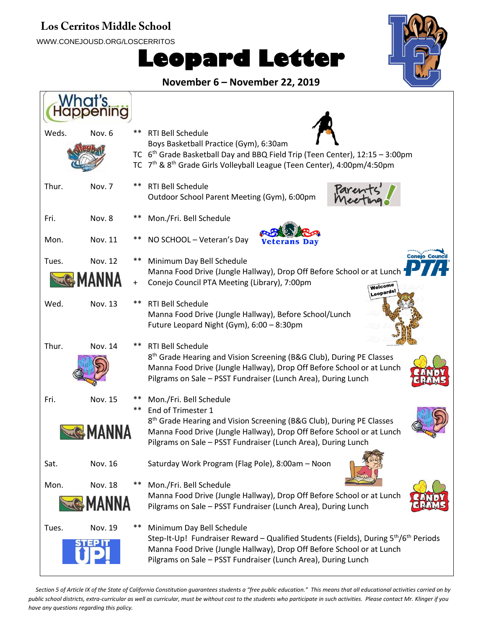## Los Cerritos Middle School

WWW.CONEJOUSD.ORG/LOSCERRITOS

## **Leopard Letter**



**November 6 – November 22, 2019**

| Weds. | Nov. 6         | ** | <b>RTI Bell Schedule</b>                                                                        |
|-------|----------------|----|-------------------------------------------------------------------------------------------------|
|       |                |    | Boys Basketball Practice (Gym), 6:30am                                                          |
|       |                |    | TC 6 <sup>th</sup> Grade Basketball Day and BBQ Field Trip (Teen Center), 12:15 - 3:00pm        |
|       |                |    | TC 7 <sup>th</sup> & 8 <sup>th</sup> Grade Girls Volleyball League (Teen Center), 4:00pm/4:50pm |
| Thur. | Nov. 7         | ** | <b>RTI Bell Schedule</b>                                                                        |
|       |                |    | Parente<br>Outdoor School Parent Meeting (Gym), 6:00pm                                          |
|       |                |    |                                                                                                 |
| Fri.  | Nov. 8         |    | Mon./Fri. Bell Schedule                                                                         |
|       |                |    |                                                                                                 |
| Mon.  | Nov. 11        |    | NO SCHOOL - Veteran's Day<br>Veterans Dav                                                       |
| Tues. | Nov. 12        |    | <b>Conejo Counci</b><br>Minimum Day Bell Schedule                                               |
|       |                |    | Manna Food Drive (Jungle Hallway), Drop Off Before School or at Lunch                           |
|       | <b>MANNA</b>   |    | Conejo Council PTA Meeting (Library), 7:00pm<br>Welcome                                         |
| Wed.  | Nov. 13        |    | eopards!<br>RTI Bell Schedule                                                                   |
|       |                |    | Manna Food Drive (Jungle Hallway), Before School/Lunch                                          |
|       |                |    | Future Leopard Night (Gym), 6:00 - 8:30pm                                                       |
|       |                |    |                                                                                                 |
| Thur. | <b>Nov. 14</b> |    | <b>RTI Bell Schedule</b>                                                                        |
|       |                |    | 8 <sup>th</sup> Grade Hearing and Vision Screening (B&G Club), During PE Classes                |
|       |                |    | Manna Food Drive (Jungle Hallway), Drop Off Before School or at Lunch                           |
|       |                |    | Pilgrams on Sale - PSST Fundraiser (Lunch Area), During Lunch                                   |
| Fri.  | Nov. 15        |    | Mon./Fri. Bell Schedule                                                                         |
|       |                | ** | End of Trimester 1                                                                              |
|       |                |    | 8 <sup>th</sup> Grade Hearing and Vision Screening (B&G Club), During PE Classes                |
|       | <b>MANNA</b>   |    | Manna Food Drive (Jungle Hallway), Drop Off Before School or at Lunch                           |
|       |                |    | Pilgrams on Sale - PSST Fundraiser (Lunch Area), During Lunch                                   |
| Sat.  | Nov. 16        |    | Saturday Work Program (Flag Pole), 8:00am - Noon                                                |
|       |                |    |                                                                                                 |
| Mon.  | <b>Nov. 18</b> |    | Mon./Fri. Bell Schedule                                                                         |
|       | <b>MANNA</b>   |    | Manna Food Drive (Jungle Hallway), Drop Off Before School or at Lunch                           |
|       |                |    | Pilgrams on Sale - PSST Fundraiser (Lunch Area), During Lunch                                   |
| Tues. | Nov. 19        |    | Minimum Day Bell Schedule                                                                       |
|       |                |    | Step-It-Up! Fundraiser Reward – Qualified Students (Fields), During $5th/6th$ Periods           |
|       |                |    | Manna Food Drive (Jungle Hallway), Drop Off Before School or at Lunch                           |
|       |                |    | Pilgrams on Sale - PSST Fundraiser (Lunch Area), During Lunch                                   |

Section 5 of Article IX of the State of California Constitution guarantees students a "free public education." This means that all educational activities carried on by *public school districts, extra-curricular as well as curricular, must be without cost to the students who participate in such activities. Please contact Mr. Klinger if you have any questions regarding this policy.*